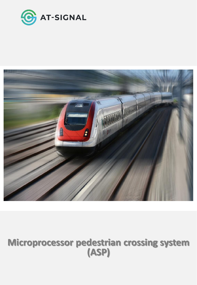



# **Microprocessor pedestrian crossing system (АSP)**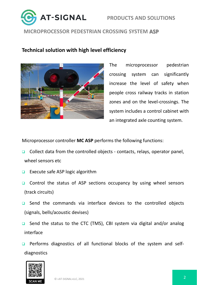



## **Technical solution with high level efficiency**



The microprocessor pedestrian crossing system can significantly increase the level of safety when people cross railway tracks in station zones and on the level-crossings. The system includes a control cabinet with an integrated axle counting system.

Microprocessor controller **MC ASP** performs the following functions:

- Collect data from the controlled objects contacts, relays, operator panel, wheel sensors etc
- **Execute safe ASP logic algorithm**
- $\Box$  Control the status of ASP sections occupancy by using wheel sensors (track circuits)
- □ Send the commands via interface devices to the controlled objects (signals, bells/acoustic devises)
- □ Send the status to the CTC (TMS), CBI system via digital and/or analog interface
- **Q** Performs diagnostics of all functional blocks of the system and selfdiagnostics

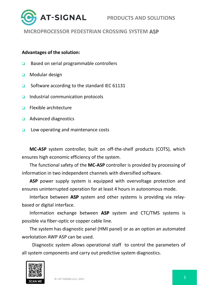

#### **Advantages of the solution:**

- □ Based on serial programmable controllers
- **D** Modular design
- **□** Software according to the standard IEC 61131
- $\Box$  Industrial communication protocols
- $\Box$  Flexible architecture
- **Q** Advanced diagnostics
- $\Box$  Low operating and maintenance costs

**MC-ASP** system controller, built on off-the-shelf products (COTS), which ensures high economic efficiency of the system.

The functional safety of the **MC-ASP** controller is provided by processing of information in two independent channels with diversified software.

**ASP** power supply system is equipped with overvoltage protection and ensures uninterrupted operation for at least 4 hours in autonomous mode.

Interface between **ASP** system and other systems is providing via relaybased or digital interface.

Information exchange between **ASP** system and CTC/TMS systems is possible via fiber-optic or copper cable line.

The system has diagnostic panel (HMI panel) or as an option an automated workstation AWP ASP can be used.

Diagnostic system allows operational staff to control the parameters of all system components and carry out predictive system diagnostics.

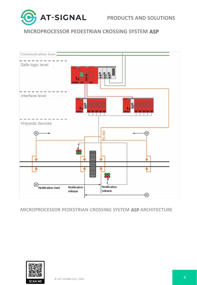



#### **MICROPROCESSOR PEDESTRIAN CROSSING SYSTEM АSP ARCHITECTURE**